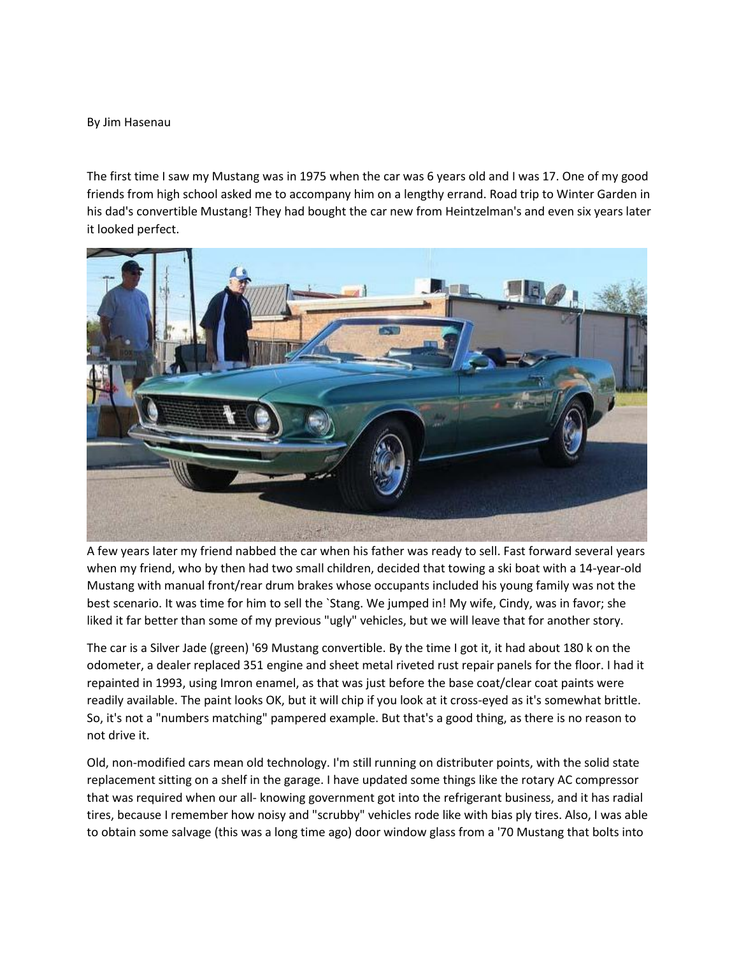## By Jim Hasenau

The first time I saw my Mustang was in 1975 when the car was 6 years old and I was 17. One of my good friends from high school asked me to accompany him on a lengthy errand. Road trip to Winter Garden in his dad's convertible Mustang! They had bought the car new from Heintzelman's and even six years later it looked perfect.



A few years later my friend nabbed the car when his father was ready to sell. Fast forward several years when my friend, who by then had two small children, decided that towing a ski boat with a 14-year-old Mustang with manual front/rear drum brakes whose occupants included his young family was not the best scenario. It was time for him to sell the `Stang. We jumped in! My wife, Cindy, was in favor; she liked it far better than some of my previous "ugly" vehicles, but we will leave that for another story.

The car is a Silver Jade (green) '69 Mustang convertible. By the time I got it, it had about 180 k on the odometer, a dealer replaced 351 engine and sheet metal riveted rust repair panels for the floor. I had it repainted in 1993, using Imron enamel, as that was just before the base coat/clear coat paints were readily available. The paint looks OK, but it will chip if you look at it cross-eyed as it's somewhat brittle. So, it's not a "numbers matching" pampered example. But that's a good thing, as there is no reason to not drive it.

Old, non-modified cars mean old technology. I'm still running on distributer points, with the solid state replacement sitting on a shelf in the garage. I have updated some things like the rotary AC compressor that was required when our all- knowing government got into the refrigerant business, and it has radial tires, because I remember how noisy and "scrubby" vehicles rode like with bias ply tires. Also, I was able to obtain some salvage (this was a long time ago) door window glass from a '70 Mustang that bolts into